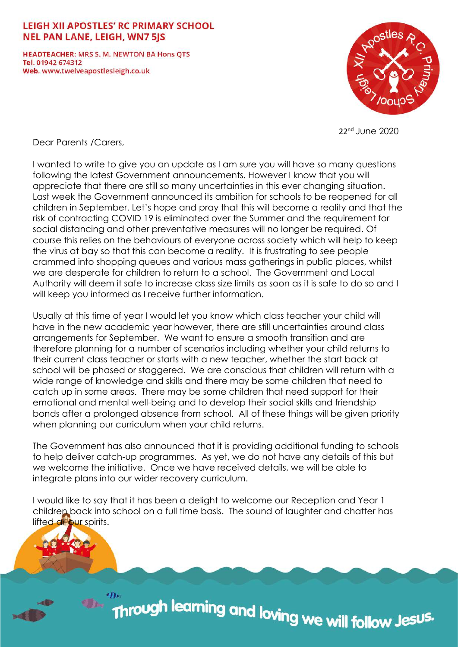## LEIGH XII APOSTLES' RC PRIMARY SCHOOL **NEL PAN LANE, LEIGH, WN7 5JS**

**HEADTEACHER: MRS S. M. NEWTON BA Hons OTS** Tel. 01942 674312 Web. www.twelveapostlesleigh.co.uk



22nd June 2020

Dear Parents /Carers,

I wanted to write to give you an update as I am sure you will have so many questions following the latest Government announcements. However I know that you will appreciate that there are still so many uncertainties in this ever changing situation. Last week the Government announced its ambition for schools to be reopened for all children in September. Let's hope and pray that this will become a reality and that the risk of contracting COVID 19 is eliminated over the Summer and the requirement for social distancing and other preventative measures will no longer be required. Of course this relies on the behaviours of everyone across society which will help to keep the virus at bay so that this can become a reality. It is frustrating to see people crammed into shopping queues and various mass gatherings in public places, whilst we are desperate for children to return to a school. The Government and Local Authority will deem it safe to increase class size limits as soon as it is safe to do so and I will keep you informed as I receive further information.

Usually at this time of year I would let you know which class teacher your child will have in the new academic year however, there are still uncertainties around class arrangements for September. We want to ensure a smooth transition and are therefore planning for a number of scenarios including whether your child returns to their current class teacher or starts with a new teacher, whether the start back at school will be phased or staggered. We are conscious that children will return with a wide range of knowledge and skills and there may be some children that need to catch up in some areas. There may be some children that need support for their emotional and mental well-being and to develop their social skills and friendship bonds after a prolonged absence from school. All of these things will be given priority when planning our curriculum when your child returns.

The Government has also announced that it is providing additional funding to schools to help deliver catch-up programmes. As yet, we do not have any details of this but we welcome the initiative. Once we have received details, we will be able to integrate plans into our wider recovery curriculum.

I would like to say that it has been a delight to welcome our Reception and Year 1 children back into school on a full time basis. The sound of laughter and chatter has lifted all our spirits.

Through learning and loving we will follow Jes<sup>us.</sup>